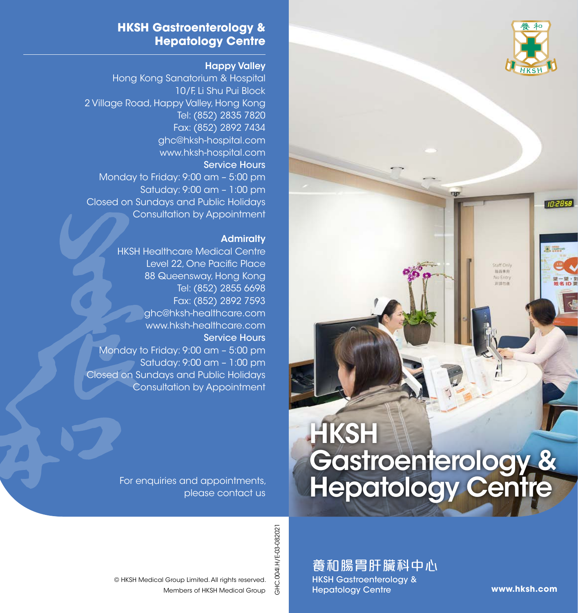

10:2858

東野

Staff Only 面持券用 No Entry 非議所書

#### **HKSH Gastroenterology & Hepatology Centre**

#### Happy Valley

Hong Kong Sanatorium & Hospital 10/F, Li Shu Pui Block 2 Village Road, Happy Valley, Hong Kong Tel: (852) 2835 7820 Fax: (852) 2892 7434 ghc@hksh-hospital.com www.hksh-hospital.com Service Hours Monday to Friday: 9:00 am – 5:00 pm Satuday: 9:00 am – 1:00 pm Closed on Sundays and Public Holidays Consultation by Appointment

#### **Admiralty**

HKSH Healthcare Medical Centre Level 22, One Pacific Place 88 Queensway, Hong Kong Tel: (852) 2855 6698 Fax: (852) 2892 7593 ghc@hksh-healthcare.com www.hksh-healthcare.com Service Hours Monday to Friday: 9:00 am – 5:00 pm Satuday: 9:00 am – 1:00 pm Closed on Sundays and Public Holidays Consultation by Appointment

> **HKSH** Gastroenterology & Hepatology Centre

**TASY** 

For enquiries and appointments, please contact us

© HKSH Medical Group Limited. All rights reserved.

Members of HKSH Medical Group

GHC.0041.H/E-03-082021 GHC.004I.H/E-03-082021

養和腸胃肝臟科中心 HKSH Gastroenterology & Hepatology Centre

**www.hksh.com**